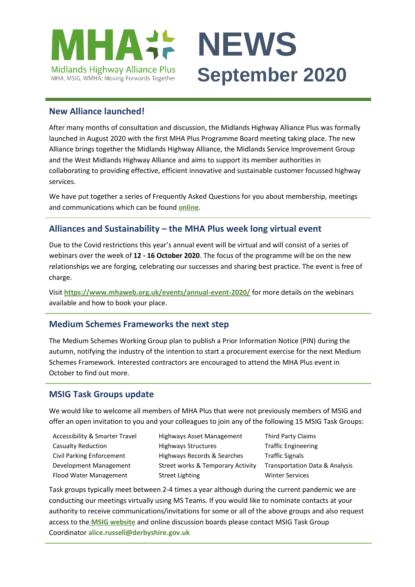

### **New Alliance launched!**

After many months of consultation and discussion, the Midlands Highway Alliance Plus was formally launched in August 2020 with the first MHA Plus Programme Board meeting taking place. The new Alliance brings together the Midlands Highway Alliance, the Midlands Service Improvement Group and the West Midlands Highway Alliance and aims to support its member authorities in collaborating to providing effective, efficient innovative and sustainable customer focussed highway services.

We have put together a series of Frequently Asked Questions for you about membership, meetings and communications which can be found **[online](https://www.mhaweb.org.uk/download/March-2020-papers/04_merger_documents/FAQ-MHAJM.pdf)**.

## **Alliances and Sustainability – the MHA Plus week long virtual event**

Due to the Covid restrictions this year's annual event will be virtual and will consist of a series of webinars over the week of **12 - 16 October 2020**. The focus of the programme will be on the new relationships we are forging, celebrating our successes and sharing best practice. The event is free of charge.

Visit **<https://www.mhaweb.org.uk/events/annual-event-2020/>** for more details on the webinars available and how to book your place.

#### **Medium Schemes Frameworks the next step**

The Medium Schemes Working Group plan to publish a Prior Information Notice (PIN) during the autumn, notifying the industry of the intention to start a procurement exercise for the next Medium Schemes Framework. Interested contractors are encouraged to attend the MHA Plus event in October to find out more.

## **MSIG Task Groups update**

We would like to welcome all members of MHA Plus that were not previously members of MSIG and offer an open invitation to you and your colleagues to join any of the following 15 MSIG Task Groups:

- 
- Accessibility & Smarter Travel Highways Asset Management Third Party Claims Casualty Reduction **Highways Structures** Traffic Engineering Civil Parking Enforcement Highways Records & Searches Traffic Signals Development Management Street works & Temporary Activity Transportation Data & Analysis Flood Water Management Street Lighting Street Services
- 

Task groups typically meet between 2-4 times a year although during the current pandemic we are conducting our meetings virtually using MS Teams. If you would like to nominate contacts at your authority to receive communications/invitations for some or all of the above groups and also request access to the **[MSIG website](https://msig.econtrack.com/Default.aspx)** and online discussion boards please contact MSIG Task Group Coordinator **alice.russell@derbyshire.gov.uk**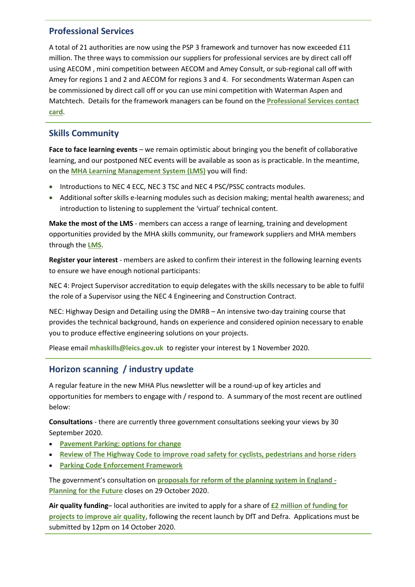## **Professional Services**

A total of 21 authorities are now using the PSP 3 framework and turnover has now exceeded £11 million. The three ways to commission our suppliers for professional services are by direct call off using AECOM , mini competition between AECOM and Amey Consult, or sub-regional call off with Amey for regions 1 and 2 and AECOM for regions 3 and 4. For secondments Waterman Aspen can be commissioned by direct call off or you can use mini competition with Waterman Aspen and Matchtech. Details for the framework managers can be found on the **[Professional Services contact](https://www.mhaweb.org.uk/download/professional_services/T0552_MHA-CONTACT-CARD-PSP-3-05.pdf)  [card](https://www.mhaweb.org.uk/download/professional_services/T0552_MHA-CONTACT-CARD-PSP-3-05.pdf)**.

# **Skills Community**

**Face to face learning events** – we remain optimistic about bringing you the benefit of collaborative learning, and our postponed NEC events will be available as soon as is practicable. In the meantime, on the **[MHA Learning Management System \(LMS\)](https://mhaskills.virtual-college.co.uk/)** you will find:

- Introductions to NEC 4 ECC, NEC 3 TSC and NEC 4 PSC/PSSC contracts modules.
- Additional softer skills e-learning modules such as decision making; mental health awareness; and introduction to listening to supplement the 'virtual' technical content.

**Make the most of the LMS** - members can access a range of learning, training and development opportunities provided by the MHA skills community, our framework suppliers and MHA members through the **[LMS](https://mhaskills.virtual-college.co.uk/)**.

**Register your interest** - members are asked to confirm their interest in the following learning events to ensure we have enough notional participants:

NEC 4: Project Supervisor accreditation to equip delegates with the skills necessary to be able to fulfil the role of a Supervisor using the NEC 4 Engineering and Construction Contract.

NEC: Highway Design and Detailing using the DMRB – An intensive two-day training course that provides the technical background, hands on experience and considered opinion necessary to enable you to produce effective engineering solutions on your projects.

Please email **mhaskills@leics.gov.uk** to register your interest by 1 November 2020.

# **Horizon scanning / industry update**

A regular feature in the new MHA Plus newsletter will be a round-up of key articles and opportunities for members to engage with / respond to. A summary of the most recent are outlined below:

**Consultations** - there are currently three government consultations seeking your views by 30 September 2020.

- **[Pavement Parking: options for change](https://458rl1jp.r.us-east-1.awstrack.me/L0/https:%2F%2Fwww.gov.uk%2Fgovernment%2Fconsultations%2Fmanaging-pavement-parking%2Fpavement-parking-options-for-change/1/010001744de650fd-7178c66f-79fa-4024-bd0f-07b31c009b9b-000000/nReIK0tYbJAqvQQlTgrWnK790r0=177)**
- **[Review of The Highway Code to improve road safety for cyclists, pedestrians and horse riders](https://458rl1jp.r.us-east-1.awstrack.me/L0/https:%2F%2Fwww.gov.uk%2Fgovernment%2Fconsultations%2Freview-of-the-highway-code-to-improve-road-safety-for-cyclists-pedestrians-and-horse-riders/1/010001744de650fd-7178c66f-79fa-4024-bd0f-07b31c009b9b-000000/c7cHsyylGDXe2UXhBxHfbwlAMM8=177)**
- **[Parking Code Enforcement Framework](https://458rl1jp.r.us-east-1.awstrack.me/L0/https:%2F%2Fwww.gov.uk%2Fgovernment%2Fconsultations%2Fparking-code-enforcement-framework/1/010001744de650fd-7178c66f-79fa-4024-bd0f-07b31c009b9b-000000/FZn3IYoXC_Ty2UUdqkEA19vXNeM=177)**

The government's consultation on **[proposals for reform of the planning system in England -](https://www.gov.uk/government/consultations/planning-for-the-future) [Planning for the Future](https://www.gov.uk/government/consultations/planning-for-the-future)** closes on 29 October 2020.

**Air quality funding**– local authorities are invited to apply for a share of **[£2 million of funding for](https://www.gov.uk/government/news/2-million-fund-for-local-action-on-air-quality)  [projects to improve air quality](https://www.gov.uk/government/news/2-million-fund-for-local-action-on-air-quality)**, following the recent launch by DfT and Defra. Applications must be submitted by 12pm on 14 October 2020.